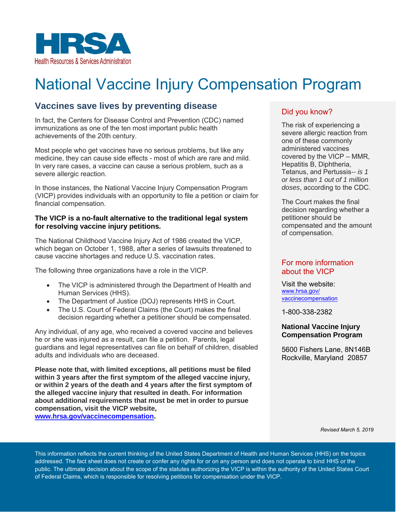

# National Vaccine Injury Compensation Program

# **Vaccines save lives by preventing disease**

In fact, the Centers for Disease Control and Prevention (CDC) named immunizations as one of the ten most important public health achievements of the 20th century.

Most people who get vaccines have no serious problems, but like any medicine, they can cause side effects - most of which are rare and mild. In very rare cases, a vaccine can cause a serious problem, such as a severe allergic reaction.

In those instances, the National Vaccine Injury Compensation Program (VICP) provides individuals with an opportunity to file a petition or claim for financial compensation.

#### **The VICP is a no-fault alternative to the traditional legal system for resolving vaccine injury petitions.**

The National Childhood Vaccine Injury Act of 1986 created the VICP, which began on October 1, 1988, after a series of lawsuits threatened to cause vaccine shortages and reduce U.S. vaccination rates.

The following three organizations have a role in the VICP.

- The VICP is administered through the Department of Health and Human Services (HHS).
- The Department of Justice (DOJ) represents HHS in Court.
- The U.S. Court of Federal Claims (the Court) makes the final decision regarding whether a petitioner should be compensated.

Any individual, of any age, who received a covered vaccine and believes he or she was injured as a result, can file a petition. Parents, legal guardians and legal representatives can file on behalf of children, disabled adults and individuals who are deceased.

**Please note that, with limited exceptions, all petitions must be filed within 3 years after the first symptom of the alleged vaccine injury, or within 2 years of the death and 4 years after the first symptom of the alleged vaccine injury that resulted in death. For information about additional requirements that must be met in order to pursue compensation, visit the VICP website, [www.hrsa.gov/vaccinecompensation.](http://www.hrsa.gov/vaccinecompensation)** 

## Did you know?

The risk of experiencing a severe allergic reaction from one of these commonly administered vaccines covered by the VICP – MMR, Hepatitis B, Diphtheria, Tetanus, and Pertussis*-- is 1 or less than 1 out of 1 million doses*, according to the CDC.

The Court makes the final decision regarding whether a petitioner should be compensated and the amount of compensation.

### For more information about the VICP

Visit the website: [www.hrsa.gov/](file:///C:/Users/bfeathers/Downloads/www.hrsa.gov/vaccinecompensation) [vac](file:///C:/Users/bfeathers/Downloads/www.hrsa.gov/vaccinecompensation)cinecompensation

1-800-338-2382

#### **National Vaccine Injury Compensation Program**

5600 Fishers Lane, 8N146B Rockville, Maryland 20857

*Revised March 5, 2019* 

This information reflects the current thinking of the United States Department of Health and Human Services (HHS) on the topics addressed. The fact sheet does not create or confer any rights for or on any person and does not operate to bind HHS or the public. The ultimate decision about the scope of the statutes authorizing the VICP is within the authority of the United States Court of Federal Claims, which is responsible for resolving petitions for compensation under the VICP.